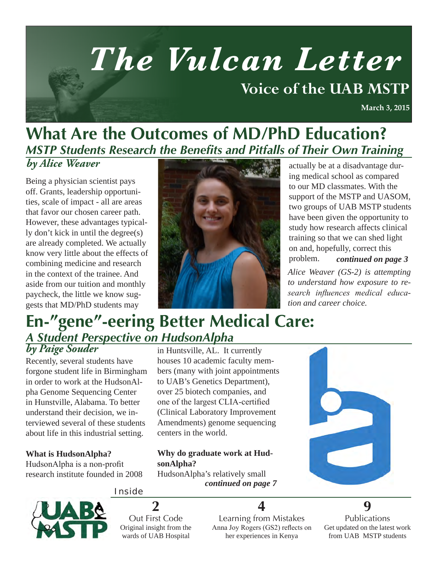# *The Vulcan Letter*  **Voice of the UAB MSTP March 3, 2015**

### **What Are the Outcomes of MD/PhD Education?** *MSTP Students Research the Benefits and Pitfalls of Their Own Training*

Being a physician scientist pays off. Grants, leadership opportunities, scale of impact - all are areas that favor our chosen career path. However, these advantages typically don't kick in until the degree(s) are already completed. We actually know very little about the effects of combining medicine and research in the context of the trainee. And aside from our tuition and monthly paycheck, the little we know suggests that MD/PhD students may



ing medical school as compared to our MD classmates. With the support of the MSTP and UASOM, two groups of UAB MSTP students have been given the opportunity to study how research affects clinical training so that we can shed light on and, hopefully, correct this problem. *continued on page 3*

*Alice Weaver (GS-2) is attempting to understand how exposure to research influences medical education and career choice.*

### **En-"gene"-eering Better Medical Care:**  *A Student Perspective on HudsonAlpha*

Recently, several students have forgone student life in Birmingham in order to work at the HudsonAlpha Genome Sequencing Center in Hunstville, Alabama. To better understand their decision, we interviewed several of these students about life in this industrial setting.

#### **What is HudsonAlpha?**

HudsonAlpha is a non-profit research institute founded in 2008 in Huntsville, AL. It currently houses 10 academic faculty members (many with joint appointments to UAB's Genetics Department), over 25 biotech companies, and one of the largest CLIA-certified (Clinical Laboratory Improvement Amendments) genome sequencing centers in the world.

### **Why do graduate work at HudsonAlpha?**

HudsonAlpha's relatively small *continued on page 7*



#### Inside



Out First Code Original insight from the wards of UAB Hospital

**2**

Learning from Mistakes Anna Joy Rogers (GS2) reflects on her experiences in Kenya

**4**

Publications Get updated on the latest work from UAB MSTP students

**9**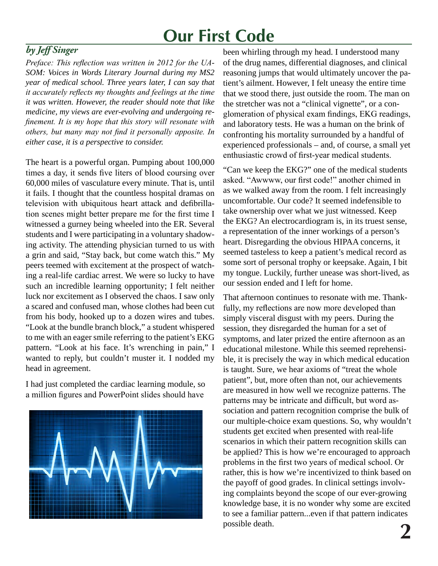### **Our First Code**

### *by Jeff Singer*

*Preface: This reflection was written in 2012 for the UA-SOM: Voices in Words Literary Journal during my MS2 year of medical school. Three years later, I can say that it accurately reflects my thoughts and feelings at the time it was written. However, the reader should note that like medicine, my views are ever-evolving and undergoing refinement. It is my hope that this story will resonate with others, but many may not find it personally apposite. In either case, it is a perspective to consider.*

The heart is a powerful organ. Pumping about 100,000 times a day, it sends five liters of blood coursing over 60,000 miles of vasculature every minute. That is, until it fails. I thought that the countless hospital dramas on television with ubiquitous heart attack and defibrillation scenes might better prepare me for the first time I witnessed a gurney being wheeled into the ER. Several students and I were participating in a voluntary shadowing activity. The attending physician turned to us with a grin and said, "Stay back, but come watch this." My peers teemed with excitement at the prospect of watching a real-life cardiac arrest. We were so lucky to have such an incredible learning opportunity; I felt neither luck nor excitement as I observed the chaos. I saw only a scared and confused man, whose clothes had been cut from his body, hooked up to a dozen wires and tubes. "Look at the bundle branch block," a student whispered to me with an eager smile referring to the patient's EKG pattern. "Look at his face. It's wrenching in pain," I wanted to reply, but couldn't muster it. I nodded my head in agreement.

I had just completed the cardiac learning module, so a million figures and PowerPoint slides should have



been whirling through my head. I understood many of the drug names, differential diagnoses, and clinical reasoning jumps that would ultimately uncover the patient's ailment. However, I felt uneasy the entire time that we stood there, just outside the room. The man on the stretcher was not a "clinical vignette", or a conglomeration of physical exam findings, EKG readings, and laboratory tests. He was a human on the brink of confronting his mortality surrounded by a handful of experienced professionals – and, of course, a small yet enthusiastic crowd of first-year medical students.

"Can we keep the EKG?" one of the medical students asked. "Awwww, our first code!" another chimed in as we walked away from the room. I felt increasingly uncomfortable. Our code? It seemed indefensible to take ownership over what we just witnessed. Keep the EKG? An electrocardiogram is, in its truest sense, a representation of the inner workings of a person's heart. Disregarding the obvious HIPAA concerns, it seemed tasteless to keep a patient's medical record as some sort of personal trophy or keepsake. Again, I bit my tongue. Luckily, further unease was short-lived, as our session ended and I left for home.

That afternoon continues to resonate with me. Thankfully, my reflections are now more developed than simply visceral disgust with my peers. During the session, they disregarded the human for a set of symptoms, and later prized the entire afternoon as an educational milestone. While this seemed reprehensible, it is precisely the way in which medical education is taught. Sure, we hear axioms of "treat the whole patient", but, more often than not, our achievements are measured in how well we recognize patterns. The patterns may be intricate and difficult, but word association and pattern recognition comprise the bulk of our multiple-choice exam questions. So, why wouldn't students get excited when presented with real-life scenarios in which their pattern recognition skills can be applied? This is how we're encouraged to approach problems in the first two years of medical school. Or rather, this is how we're incentivized to think based on the payoff of good grades. In clinical settings involving complaints beyond the scope of our ever-growing knowledge base, it is no wonder why some are excited to see a familiar pattern...even if that pattern indicates possible death. **2**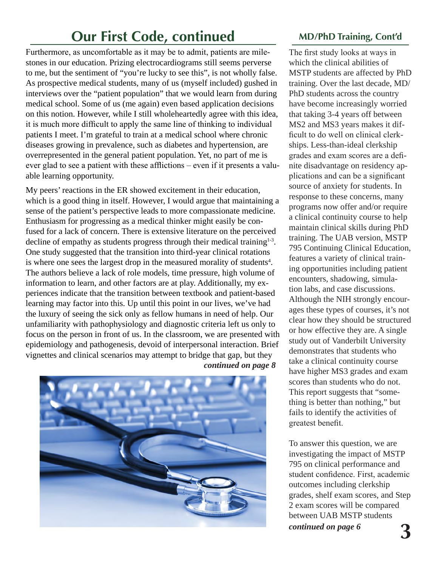### **Our First Code, continued**

Furthermore, as uncomfortable as it may be to admit, patients are milestones in our education. Prizing electrocardiograms still seems perverse to me, but the sentiment of "you're lucky to see this", is not wholly false. As prospective medical students, many of us (myself included) gushed in interviews over the "patient population" that we would learn from during medical school. Some of us (me again) even based application decisions on this notion. However, while I still wholeheartedly agree with this idea, it is much more difficult to apply the same line of thinking to individual patients I meet. I'm grateful to train at a medical school where chronic diseases growing in prevalence, such as diabetes and hypertension, are overrepresented in the general patient population. Yet, no part of me is ever glad to see a patient with these afflictions – even if it presents a valuable learning opportunity.

My peers' reactions in the ER showed excitement in their education, which is a good thing in itself. However, I would argue that maintaining a sense of the patient's perspective leads to more compassionate medicine. Enthusiasm for progressing as a medical thinker might easily be confused for a lack of concern. There is extensive literature on the perceived decline of empathy as students progress through their medical training<sup>1-3</sup>. One study suggested that the transition into third-year clinical rotations is where one sees the largest drop in the measured morality of students<sup>4</sup>. The authors believe a lack of role models, time pressure, high volume of information to learn, and other factors are at play. Additionally, my experiences indicate that the transition between textbook and patient-based learning may factor into this. Up until this point in our lives, we've had the luxury of seeing the sick only as fellow humans in need of help. Our unfamiliarity with pathophysiology and diagnostic criteria left us only to focus on the person in front of us. In the classroom, we are presented with epidemiology and pathogenesis, devoid of interpersonal interaction. Brief vignettes and clinical scenarios may attempt to bridge that gap, but they *continued on page 8*



### **MD/PhD Training, Cont'd**

The first study looks at ways in which the clinical abilities of MSTP students are affected by PhD training. Over the last decade, MD/ PhD students across the country have become increasingly worried that taking 3-4 years off between MS2 and MS3 years makes it difficult to do well on clinical clerkships. Less-than-ideal clerkship grades and exam scores are a definite disadvantage on residency applications and can be a significant source of anxiety for students. In response to these concerns, many programs now offer and/or require a clinical continuity course to help maintain clinical skills during PhD training. The UAB version, MSTP 795 Continuing Clinical Education, features a variety of clinical training opportunities including patient encounters, shadowing, simulation labs, and case discussions. Although the NIH strongly encourages these types of courses, it's not clear how they should be structured or how effective they are. A single study out of Vanderbilt University demonstrates that students who take a clinical continuity course have higher MS3 grades and exam scores than students who do not. This report suggests that "something is better than nothing," but fails to identify the activities of greatest benefit.

To answer this question, we are investigating the impact of MSTP 795 on clinical performance and student confidence. First, academic outcomes including clerkship grades, shelf exam scores, and Step 2 exam scores will be compared between UAB MSTP students *continued on page 6* **3**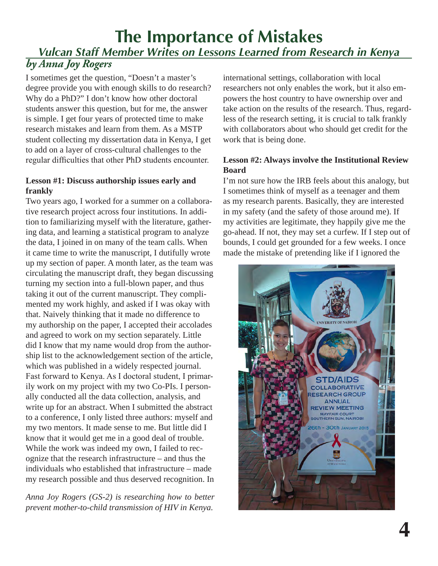### *by Anna Joy Rogers* **The Importance of Mistakes** *Vulcan Staff Member Writes on Lessons Learned from Research in Kenya*

I sometimes get the question, "Doesn't a master's degree provide you with enough skills to do research? Why do a PhD?" I don't know how other doctoral students answer this question, but for me, the answer is simple. I get four years of protected time to make research mistakes and learn from them. As a MSTP student collecting my dissertation data in Kenya, I get to add on a layer of cross-cultural challenges to the regular difficulties that other PhD students encounter.

#### **Lesson #1: Discuss authorship issues early and frankly**

Two years ago, I worked for a summer on a collaborative research project across four institutions. In addition to familiarizing myself with the literature, gathering data, and learning a statistical program to analyze the data, I joined in on many of the team calls. When it came time to write the manuscript, I dutifully wrote up my section of paper. A month later, as the team was circulating the manuscript draft, they began discussing turning my section into a full-blown paper, and thus taking it out of the current manuscript. They complimented my work highly, and asked if I was okay with that. Naively thinking that it made no difference to my authorship on the paper, I accepted their accolades and agreed to work on my section separately. Little did I know that my name would drop from the authorship list to the acknowledgement section of the article, which was published in a widely respected journal. Fast forward to Kenya. As I doctoral student, I primarily work on my project with my two Co-PIs. I personally conducted all the data collection, analysis, and write up for an abstract. When I submitted the abstract to a conference, I only listed three authors: myself and my two mentors. It made sense to me. But little did I know that it would get me in a good deal of trouble. While the work was indeed my own, I failed to recognize that the research infrastructure – and thus the individuals who established that infrastructure – made my research possible and thus deserved recognition. In

*Anna Joy Rogers (GS-2) is researching how to better prevent mother-to-child transmission of HIV in Kenya.* 

international settings, collaboration with local researchers not only enables the work, but it also empowers the host country to have ownership over and take action on the results of the research. Thus, regardless of the research setting, it is crucial to talk frankly with collaborators about who should get credit for the work that is being done.

#### **Lesson #2: Always involve the Institutional Review Board**

I'm not sure how the IRB feels about this analogy, but I sometimes think of myself as a teenager and them as my research parents. Basically, they are interested in my safety (and the safety of those around me). If my activities are legitimate, they happily give me the go-ahead. If not, they may set a curfew. If I step out of bounds, I could get grounded for a few weeks. I once made the mistake of pretending like if I ignored the

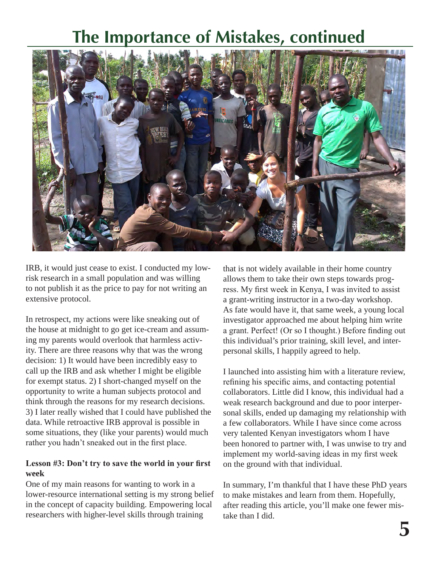### **The Importance of Mistakes, continued**



IRB, it would just cease to exist. I conducted my lowrisk research in a small population and was willing to not publish it as the price to pay for not writing an extensive protocol.

In retrospect, my actions were like sneaking out of the house at midnight to go get ice-cream and assuming my parents would overlook that harmless activity. There are three reasons why that was the wrong decision: 1) It would have been incredibly easy to call up the IRB and ask whether I might be eligible for exempt status. 2) I short-changed myself on the opportunity to write a human subjects protocol and think through the reasons for my research decisions. 3) I later really wished that I could have published the data. While retroactive IRB approval is possible in some situations, they (like your parents) would much rather you hadn't sneaked out in the first place.

#### **Lesson #3: Don't try to save the world in your first week**

One of my main reasons for wanting to work in a lower-resource international setting is my strong belief in the concept of capacity building. Empowering local researchers with higher-level skills through training

that is not widely available in their home country allows them to take their own steps towards progress. My first week in Kenya, I was invited to assist a grant-writing instructor in a two-day workshop. As fate would have it, that same week, a young local investigator approached me about helping him write a grant. Perfect! (Or so I thought.) Before finding out this individual's prior training, skill level, and interpersonal skills, I happily agreed to help.

I launched into assisting him with a literature review, refining his specific aims, and contacting potential collaborators. Little did I know, this individual had a weak research background and due to poor interpersonal skills, ended up damaging my relationship with a few collaborators. While I have since come across very talented Kenyan investigators whom I have been honored to partner with, I was unwise to try and implement my world-saving ideas in my first week on the ground with that individual.

In summary, I'm thankful that I have these PhD years to make mistakes and learn from them. Hopefully, after reading this article, you'll make one fewer mistake than I did.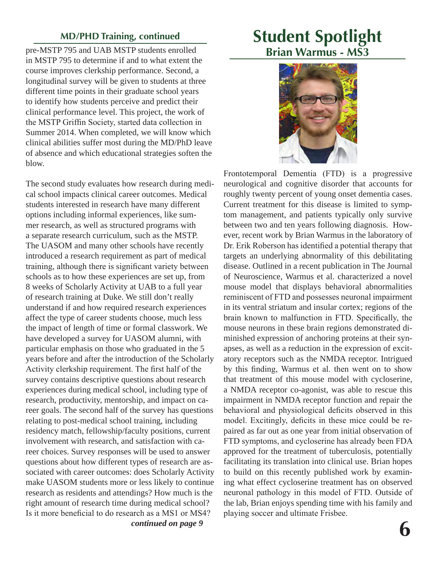#### **MD/PHD Training, continued**

pre-MSTP 795 and UAB MSTP students enrolled in MSTP 795 to determine if and to what extent the course improves clerkship performance. Second, a longitudinal survey will be given to students at three different time points in their graduate school years to identify how students perceive and predict their clinical performance level. This project, the work of the MSTP Griffin Society, started data collection in Summer 2014. When completed, we will know which clinical abilities suffer most during the MD/PhD leave of absence and which educational strategies soften the blow.

The second study evaluates how research during medical school impacts clinical career outcomes. Medical students interested in research have many different options including informal experiences, like summer research, as well as structured programs with a separate research curriculum, such as the MSTP. The UASOM and many other schools have recently introduced a research requirement as part of medical training, although there is significant variety between schools as to how these experiences are set up, from 8 weeks of Scholarly Activity at UAB to a full year of research training at Duke. We still don't really understand if and how required research experiences affect the type of career students choose, much less the impact of length of time or formal classwork. We have developed a survey for UASOM alumni, with particular emphasis on those who graduated in the 5 years before and after the introduction of the Scholarly Activity clerkship requirement. The first half of the survey contains descriptive questions about research experiences during medical school, including type of research, productivity, mentorship, and impact on career goals. The second half of the survey has questions relating to post-medical school training, including residency match, fellowship/faculty positions, current involvement with research, and satisfaction with career choices. Survey responses will be used to answer questions about how different types of research are associated with career outcomes: does Scholarly Activity make UASOM students more or less likely to continue research as residents and attendings? How much is the right amount of research time during medical school? Is it more beneficial to do research as a MS1 or MS4? *continued on page 9*

### **Student Spotlight Brian Warmus - MS3**



Frontotemporal Dementia (FTD) is a progressive neurological and cognitive disorder that accounts for roughly twenty percent of young onset dementia cases. Current treatment for this disease is limited to symptom management, and patients typically only survive between two and ten years following diagnosis. However, recent work by Brian Warmus in the laboratory of Dr. Erik Roberson has identified a potential therapy that targets an underlying abnormality of this debilitating disease. Outlined in a recent publication in The Journal of Neuroscience, Warmus et al. characterized a novel mouse model that displays behavioral abnormalities reminiscent of FTD and possesses neuronal impairment in its ventral striatum and insular cortex; regions of the brain known to malfunction in FTD. Specifically, the mouse neurons in these brain regions demonstrated diminished expression of anchoring proteins at their synapses, as well as a reduction in the expression of excitatory receptors such as the NMDA receptor. Intrigued by this finding, Warmus et al. then went on to show that treatment of this mouse model with cycloserine, a NMDA receptor co-agonist, was able to rescue this impairment in NMDA receptor function and repair the behavioral and physiological deficits observed in this model. Excitingly, deficits in these mice could be repaired as far out as one year from initial observation of FTD symptoms, and cycloserine has already been FDA approved for the treatment of tuberculosis, potentially facilitating its translation into clinical use. Brian hopes to build on this recently published work by examining what effect cycloserine treatment has on observed neuronal pathology in this model of FTD. Outside of the lab, Brian enjoys spending time with his family and playing soccer and ultimate Frisbee.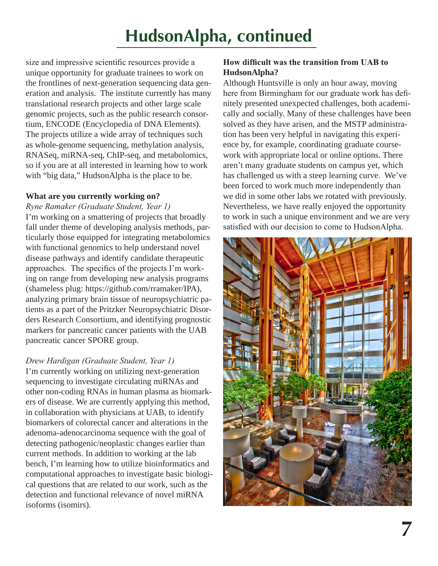## **HudsonAlpha, continued**

size and impressive scientific resources provide a unique opportunity for graduate trainees to work on the frontlines of next-generation sequencing data generation and analysis. The institute currently has many translational research projects and other large scale genomic projects, such as the public research consortium, ENCODE (Encyclopedia of DNA Elements). The projects utilize a wide array of techniques such as whole-genome sequencing, methylation analysis, RNASeq, miRNA-seq, ChIP-seq, and metabolomics, so if you are at all interested in learning how to work with "big data," HudsonAlpha is the place to be.

#### **What are you currently working on?**

*Ryne Ramaker (Graduate Student, Year 1)* I'm working on a smattering of projects that broadly fall under theme of developing analysis methods, particularly those equipped for integrating metabolomics with functional genomics to help understand novel disease pathways and identify candidate therapeutic approaches. The specifics of the projects I'm working on range from developing new analysis programs (shameless plug: https://github.com/rramaker/IPA), analyzing primary brain tissue of neuropsychiatric patients as a part of the Pritzker Neuropsychiatric Disorders Research Consortium, and identifying prognostic markers for pancreatic cancer patients with the UAB pancreatic cancer SPORE group.

#### *Drew Hardigan (Graduate Student, Year 1)*

I'm currently working on utilizing next-generation sequencing to investigate circulating miRNAs and other non-coding RNAs in human plasma as biomarkers of disease. We are currently applying this method, in collaboration with physicians at UAB, to identify biomarkers of colorectal cancer and alterations in the adenoma-adenocarcinoma sequence with the goal of detecting pathogenic/neoplastic changes earlier than current methods. In addition to working at the lab bench, I'm learning how to utilize bioinformatics and computational approaches to investigate basic biological questions that are related to our work, such as the detection and functional relevance of novel miRNA isoforms (isomirs).

#### **How difficult was the transition from UAB to HudsonAlpha?**

Although Huntsville is only an hour away, moving here from Birmingham for our graduate work has definitely presented unexpected challenges, both academically and socially. Many of these challenges have been solved as they have arisen, and the MSTP administration has been very helpful in navigating this experience by, for example, coordinating graduate coursework with appropriate local or online options. There aren't many graduate students on campus yet, which has challenged us with a steep learning curve. We've been forced to work much more independently than we did in some other labs we rotated with previously. Nevertheless, we have really enjoyed the opportunity to work in such a unique environment and we are very satisfied with our decision to come to HudsonAlpha.

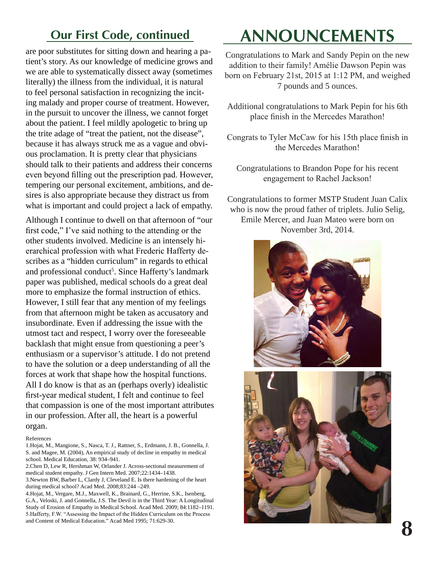are poor substitutes for sitting down and hearing a patient's story. As our knowledge of medicine grows and we are able to systematically dissect away (sometimes literally) the illness from the individual, it is natural to feel personal satisfaction in recognizing the inciting malady and proper course of treatment. However, in the pursuit to uncover the illness, we cannot forget about the patient. I feel mildly apologetic to bring up the trite adage of "treat the patient, not the disease", because it has always struck me as a vague and obvious proclamation. It is pretty clear that physicians should talk to their patients and address their concerns even beyond filling out the prescription pad. However, tempering our personal excitement, ambitions, and desires is also appropriate because they distract us from what is important and could project a lack of empathy.

Although I continue to dwell on that afternoon of "our first code," I've said nothing to the attending or the other students involved. Medicine is an intensely hierarchical profession with what Frederic Hafferty describes as a "hidden curriculum" in regards to ethical and professional conduct<sup>5</sup>. Since Hafferty's landmark paper was published, medical schools do a great deal more to emphasize the formal instruction of ethics. However, I still fear that any mention of my feelings from that afternoon might be taken as accusatory and insubordinate. Even if addressing the issue with the utmost tact and respect, I worry over the foreseeable backlash that might ensue from questioning a peer's enthusiasm or a supervisor's attitude. I do not pretend to have the solution or a deep understanding of all the forces at work that shape how the hospital functions. All I do know is that as an (perhaps overly) idealistic first-year medical student, I felt and continue to feel that compassion is one of the most important attributes in our profession. After all, the heart is a powerful organ.

References

2.Chen D, Lew R, Hershman W, Orlander J. Across-sectional measurement of medical student empathy. J Gen Intern Med. 2007;22:1434–1438.

3.Newton BW, Barber L, Clardy J, Cleveland E. Is there hardening of the heart during medical school? Acad Med. 2008;83:244 –249.

4.Hojat, M., Vergare, M.J., Maxwell, K., Brainard, G., Herrine, S.K., Isenberg, G.A., Veloski, J. and Gonnella, J.S. The Devil is in the Third Year: A Longitudinal Study of Erosion of Empathy in Medical School. Acad Med. 2009; 84:1182–1191. 5.Hafferty, F.W. "Assessing the Impact of the Hidden Curriculum on the Process and Content of Medical Education." Acad Med 1995; 71:629-30. **88. In the content of Medical Education."** Acad Med 1995; 71:629-30.

### **Our First Code, continued ANNOUNCEMENTS**

Congratulations to Mark and Sandy Pepin on the new addition to their family! Amélie Dawson Pepin was born on February 21st, 2015 at 1:12 PM, and weighed 7 pounds and 5 ounces.

Additional congratulations to Mark Pepin for his 6th place finish in the Mercedes Marathon!

Congrats to Tyler McCaw for his 15th place finish in the Mercedes Marathon!

Congratulations to Brandon Pope for his recent engagement to Rachel Jackson!

Congratulations to former MSTP Student Juan Calix who is now the proud father of triplets. Julio Selig, Emile Mercer, and Juan Mateo were born on November 3rd, 2014.





<sup>1.</sup>Hojat, M., Mangione, S., Nasca, T. J., Rattner, S., Erdmann, J. B., Gonnella, J. S. and Magee, M. (2004), An empirical study of decline in empathy in medical school. Medical Education, 38: 934–941.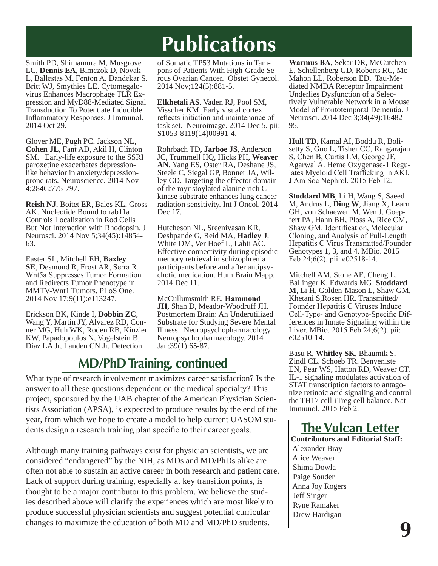# **Publications**

Smith PD, Shimamura M, Musgrove LC, **Dennis EA**, Bimczok D, Novak L, Ballestas M, Fenton A, Dandekar S, virus Enhances Macrophage TLR Expression and MyD88-Mediated Signal Transduction To Potentiate Inducible Inflammatory Responses. J Immunol. 2014 Oct 29.

Glover ME, Pugh PC, Jackson NL, **Cohen JL**, Fant AD, Akil H, Clinton SM. Early-life exposure to the SSRI paroxetine exacerbates depressionlike behavior in anxiety/depressionprone rats. Neuroscience. 2014 Nov 4;284C:775-797.

**Reish NJ**, Boitet ER, Bales KL, Gross AK. Nucleotide Bound to rab11a Controls Localization in Rod Cells But Not Interaction with Rhodopsin. J Neurosci. 2014 Nov 5;34(45):14854- 63.

Easter SL, Mitchell EH, **Baxley SE**, Desmond R, Frost AR, Serra R. Wnt5a Suppresses Tumor Formation and Redirects Tumor Phenotype in MMTV-Wnt1 Tumors. PLoS One. 2014 Nov 17;9(11):e113247.

Erickson BK, Kinde I, **Dobbin ZC**, Wang Y, Martin JY, Alvarez RD, Con- ner MG, Huh WK, Roden RB, Kinzler KW, Papadopoulos N, Vogelstein B, Diaz LA Jr, Landen CN Jr. Detection

of Somatic TP53 Mutations in Tam-<br>pons of Patients With High-Grade Se-<br>rous Ovarian Cancer. Obstet Gynecol. 2014 Nov;124(5):881-5.

**Elkhetali AS**, Vaden RJ, Pool SM, Visscher KM. Early visual cortex reflects initiation and maintenance of task set. Neuroimage. 2014 Dec 5. pii: S1053-8119(14)00991-4.

Rohrbach TD, **Jarboe JS**, Anderson JC, Trummell HQ, Hicks PH, **Weaver AN**, Yang ES, Oster RA, Deshane JS, ley CD. Targeting the effector domain of the myristoylated alanine rich Ckinase substrate enhances lung cancer radiation sensitivity. Int J Oncol. 2014 Dec 17.

Hutcheson NL, Sreenivasan KR, Deshpande G, Reid MA, **Hadley J**, White DM, Ver Hoef L, Lahti AC. Effective connectivity during episodic memory retrieval in schizophrenia participants before and after antipsychotic medication. Hum Brain Mapp. 2014 Dec 11.

McCullumsmith RE, **Hammond JH,** Shan D, Meador-Woodruff JH. Postmortem Brain: An Underutilized Substrate for Studying Severe Mental Illness. Neuropsychopharmacology. Neuropsychopharmacology. 2014 Jan;39(1):65-87.

### **MD/PhD Training, continued**

What type of research involvement maximizes career satisfaction? Is the answer to all these questions dependent on the medical specialty? This project, sponsored by the UAB chapter of the American Physician Scientists Association (APSA), is expected to produce results by the end of the year, from which we hope to create a model to help current UASOM students design a research training plan specific to their career goals.

Although many training pathways exist for physician scientists, we are considered "endangered" by the NIH, as MDs and MD/PhDs alike are often not able to sustain an active career in both research and patient care. Lack of support during training, especially at key transition points, is thought to be a major contributor to this problem. We believe the studies described above will clarify the experiences which are most likely to produce successful physician scientists and suggest potential curricular changes to maximize the education of both MD and MD/PhD students.

**Warmus BA**, Sekar DR, McCutchen E, Schellenberg GD, Roberts RC, Mc-Mahon LL, Roberson ED. Tau-Mediated NMDA Receptor Impairment Underlies Dysfunction of a Selectively Vulnerable Network in a Mouse Model of Frontotemporal Dementia. J Neurosci. 2014 Dec 3;34(49):16482- 95.

**Hull TD**, Kamal AI, Boddu R, Bolisetty S, Guo L, Tisher CC, Rangarajan S, Chen B, Curtis LM, George JF, Agarwal A. Heme Oxygenase-1 Regulates Myeloid Cell Trafficking in AKI. J Am Soc Nephrol. 2015 Feb 12.

**Stoddard MB**, Li H, Wang S, Saeed M, Andrus L, **Ding W**, Jiang X, Learn fert PA, Hahn BH, Ploss A, Rice CM, Shaw GM. Identification, Molecular Cloning, and Analysis of Full-Length Hepatitis C Virus Transmitted/Founder Genotypes 1, 3, and 4. MBio. 2015 Feb 24;6(2). pii: e02518-14.

Mitchell AM, Stone AE, Cheng L, Ballinger K, Edwards MG, **Stoddard M**, Li H, Golden-Mason L, Shaw GM, Khetani S,Rosen HR. Transmitted/ Founder Hepatitis C Viruses Induce Cell-Type- and Genotype-Specific Differences in Innate Signaling within the Liver. MBio. 2015 Feb 24;6(2). pii: e02510-14.

Basu R, **Whitley SK**, Bhaumik S, Zindl CL, Schoeb TR, Benveniste EN, Pear WS, Hatton RD, Weaver CT. IL-1 signaling modulates activation of STAT transcription factors to antagonize retinoic acid signaling and control the TH17 cell-iTreg cell balance. Nat Immunol. 2015 Feb 2.

**The Vulcan Letter Contributors and Editorial Staff:** Alexander Bray Alice Weaver Shima Dowla Paige Souder Anna Joy Rogers Jeff Singer Ryne Ramaker Drew Hardigan  **9**